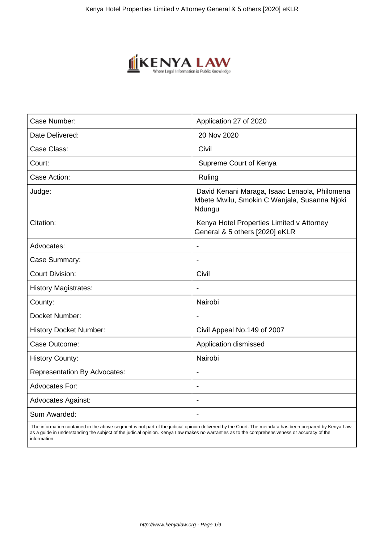

| Case Number:                        | Application 27 of 2020                                                                                  |
|-------------------------------------|---------------------------------------------------------------------------------------------------------|
| Date Delivered:                     | 20 Nov 2020                                                                                             |
| Case Class:                         | Civil                                                                                                   |
| Court:                              | Supreme Court of Kenya                                                                                  |
| Case Action:                        | Ruling                                                                                                  |
| Judge:                              | David Kenani Maraga, Isaac Lenaola, Philomena<br>Mbete Mwilu, Smokin C Wanjala, Susanna Njoki<br>Ndungu |
| Citation:                           | Kenya Hotel Properties Limited v Attorney<br>General & 5 others [2020] eKLR                             |
| Advocates:                          | $\overline{\phantom{a}}$                                                                                |
| Case Summary:                       |                                                                                                         |
| <b>Court Division:</b>              | Civil                                                                                                   |
| <b>History Magistrates:</b>         | $\blacksquare$                                                                                          |
| County:                             | Nairobi                                                                                                 |
| Docket Number:                      |                                                                                                         |
| <b>History Docket Number:</b>       | Civil Appeal No.149 of 2007                                                                             |
| Case Outcome:                       | Application dismissed                                                                                   |
| <b>History County:</b>              | Nairobi                                                                                                 |
| <b>Representation By Advocates:</b> |                                                                                                         |
| Advocates For:                      | $\overline{\phantom{a}}$                                                                                |
| <b>Advocates Against:</b>           |                                                                                                         |
| Sum Awarded:                        |                                                                                                         |

 The information contained in the above segment is not part of the judicial opinion delivered by the Court. The metadata has been prepared by Kenya Law as a guide in understanding the subject of the judicial opinion. Kenya Law makes no warranties as to the comprehensiveness or accuracy of the information.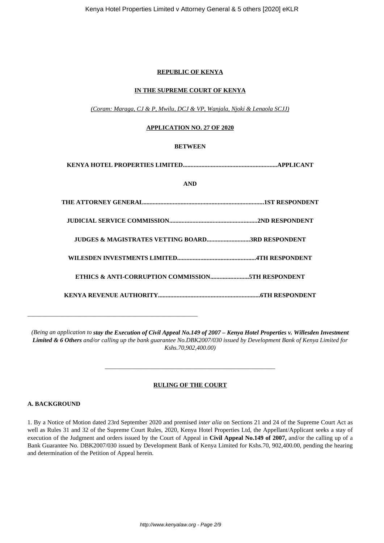### **REPUBLIC OF KENYA**

## **IN THE SUPREME COURT OF KENYA**

*(Coram: Maraga, CJ & P, Mwilu, DCJ & VP, Wanjala, Njoki & Lenaola SCJJ)*

### **APPLICATION NO. 27 OF 2020**

## **BETWEEN**

**KENYA HOTEL PROPERTIES LIMITED.............................................................APPLICANT**

## **AND**

| <b>JUDGES &amp; MAGISTRATES VETTING BOARD3RD RESPONDENT</b> |
|-------------------------------------------------------------|
|                                                             |
|                                                             |
|                                                             |

*(Being an application to stay the Execution of Civil Appeal No.149 of 2007 – Kenya Hotel Properties v. Willesden Investment Limited & 6 Others and/or calling up the bank guarantee No.DBK2007/030 issued by Development Bank of Kenya Limited for Kshs.70,902,400.00)*

## **RULING OF THE COURT**

*\_\_\_\_\_\_\_\_\_\_\_\_\_\_\_\_\_\_\_\_\_\_\_\_\_\_\_\_\_\_\_\_\_\_\_\_\_\_\_\_\_\_\_\_\_\_\_\_\_\_\_\_\_\_\_*

#### **A. BACKGROUND**

\_\_\_\_\_\_\_\_\_\_\_\_\_\_\_\_\_\_\_\_\_\_\_\_\_\_\_\_\_\_\_\_\_\_\_\_\_\_\_\_\_\_\_\_\_\_\_\_\_\_\_\_\_\_\_

1. By a Notice of Motion dated 23rd September 2020 and premised *inter alia* on Sections 21 and 24 of the Supreme Court Act as well as Rules 31 and 32 of the Supreme Court Rules, 2020, Kenya Hotel Properties Ltd, the Appellant/Applicant seeks a stay of execution of the Judgment and orders issued by the Court of Appeal in **Civil Appeal No.149 of 2007,** and/or the calling up of a Bank Guarantee No. DBK2007/030 issued by Development Bank of Kenya Limited for Kshs.70, 902,400.00, pending the hearing and determination of the Petition of Appeal herein.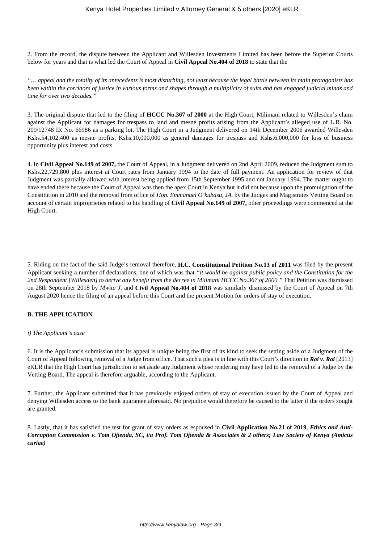2. From the record, the dispute between the Applicant and Willesden Investments Limited has been before the Superior Courts below for years and that is what led the Court of Appeal in **Civil Appeal No.404 of 2018** to state that the

*"… appeal and the totality of its antecedents is most disturbing, not least because the legal battle between its main protagonists has been within the corridors of justice in various forms and shapes through a multiplicity of suits and has engaged judicial minds and time for over two decades."*

3. The original dispute that led to the filing of **HCCC No.367 of 2000** at the High Court, Milimani related to Willesden's claim against the Applicant for damages for trespass to land and mesne profits arising from the Applicant's alleged use of L.R. No. 209/12748 IR No. 66986 as a parking lot. The High Court in a Judgment delivered on 14th December 2006 awarded Willesden Kshs.54,102,400 as mesne profits, Kshs.10,000,000 as general damages for trespass and Kshs.6,000,000 for loss of business opportunity plus interest and costs.

4. In **Civil Appeal No.149 of 2007,** the Court of Appeal, in a Judgment delivered on 2nd April 2009, reduced the Judgment sum to Kshs.22,729,800 plus interest at Court rates from January 1994 to the date of full payment. An application for review of that Judgment was partially allowed with interest being applied from 15th September 1995 and not January 1994. The matter ought to have ended there because the Court of Appeal was then the apex Court in Kenya but it did not because upon the promulgation of the Constitution in 2010 and the removal from office of *Hon. Emmanuel O'kubasu, JA.* by the Judges and Magistrates Vetting Board on account of certain improprieties related to his handling of **Civil Appeal No.149 of 2007,** other proceedings were commenced at the High Court.

5. Riding on the fact of the said Judge's removal therefore, **H.C. Constitutional Petition No.13 of 2011** was filed by the present Applicant seeking a number of declarations, one of which was that *"it would be against public policy and the Constitution for the 2nd Respondent [Willesden] to derive any benefit from the decree in Milimani HCCC No.367 of 2000."* That Petition was dismissed on 28th September 2018 by *Mwita J.* and **Civil Appeal No.404 of 2018** was similarly dismissed by the Court of Appeal on 7th August 2020 hence the filing of an appeal before this Court and the present Motion for orders of stay of execution.

## **B. THE APPLICATION**

#### *i) The Applicant's case*

6. It is the Applicant's submission that its appeal is unique being the first of its kind to seek the setting aside of a Judgment of the Court of Appeal following removal of a Judge from office. That such a plea is in line with this Court's direction in *Rai v. Rai* [2013] eKLR that the High Court has jurisdiction to set aside any Judgment whose rendering may have led to the removal of a Judge by the Vetting Board. The appeal is therefore arguable, according to the Applicant.

7. Further, the Applicant submitted that it has previously enjoyed orders of stay of execution issued by the Court of Appeal and denying Willesden access to the bank guarantee aforesaid. No prejudice would therefore be caused to the latter if the orders sought are granted.

8. Lastly, that it has satisfied the test for grant of stay orders as espoused in **Civil Application No.21 of 2019**, *Ethics and Anti-Corruption Commission v. Tom Ojienda, SC, t/a Prof. Tom Ojienda & Associates & 2 others; Law Society of Kenya (Amicus curiae)*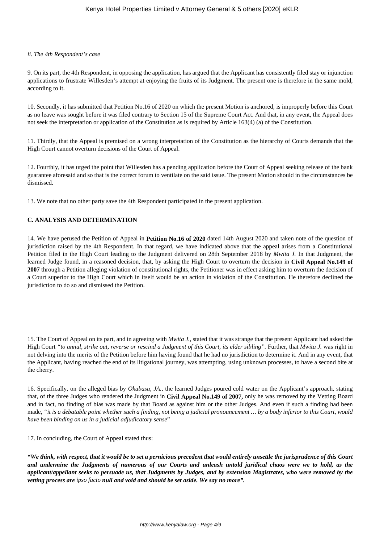#### *ii. The 4th Respondent's case*

9. On its part, the 4th Respondent, in opposing the application, has argued that the Applicant has consistently filed stay or injunction applications to frustrate Willesden's attempt at enjoying the fruits of its Judgment. The present one is therefore in the same mold, according to it.

10. Secondly, it has submitted that Petition No.16 of 2020 on which the present Motion is anchored, is improperly before this Court as no leave was sought before it was filed contrary to Section 15 of the Supreme Court Act. And that, in any event, the Appeal does not seek the interpretation or application of the Constitution as is required by Article 163(4) (a) of the Constitution.

11. Thirdly, that the Appeal is premised on a wrong interpretation of the Constitution as the hierarchy of Courts demands that the High Court cannot overturn decisions of the Court of Appeal.

12. Fourthly, it has urged the point that Willesden has a pending application before the Court of Appeal seeking release of the bank guarantee aforesaid and so that is the correct forum to ventilate on the said issue. The present Motion should in the circumstances be dismissed.

13. We note that no other party save the 4th Respondent participated in the present application.

### **C. ANALYSIS AND DETERMINATION**

14. We have perused the Petition of Appeal in **Petition No.16 of 2020** dated 14th August 2020 and taken note of the question of jurisdiction raised by the 4th Respondent. In that regard, we have indicated above that the appeal arises from a Constitutional Petition filed in the High Court leading to the Judgment delivered on 28th September 2018 by *Mwita J.* In that Judgment, the learned Judge found, in a reasoned decision, that, by asking the High Court to overturn the decision in **Civil Appeal No.149 of 2007** through a Petition alleging violation of constitutional rights, the Petitioner was in effect asking him to overturn the decision of a Court superior to the High Court which in itself would be an action in violation of the Constitution. He therefore declined the jurisdiction to do so and dismissed the Petition.

15. The Court of Appeal on its part, and in agreeing with *Mwita J.,* stated that it was strange that the present Applicant had asked the High Court *"to annul, strike out, reverse or rescind a Judgment of this Court, its elder sibling".* Further, that *Mwita J.* was right in not delving into the merits of the Petition before him having found that he had no jurisdiction to determine it. And in any event, that the Applicant, having reached the end of its litigational journey, was attempting, using unknown processes, to have a second bite at the cherry.

16. Specifically, on the alleged bias by *Okubasu, JA.,* the learned Judges poured cold water on the Applicant's approach, stating that, of the three Judges who rendered the Judgment in **Civil Appeal No.149 of 2007,** only he was removed by the Vetting Board and in fact, no finding of bias was made by that Board as against him or the other Judges. And even if such a finding had been made, *"it is a debatable point whether such a finding, not being a judicial pronouncement … by a body inferior to this Court, would have been binding on us in a judicial adjudicatory sense*"

17. In concluding, the Court of Appeal stated thus:

*"We think, with respect, that it would be to set a pernicious precedent that would entirely unsettle the jurisprudence of this Court and undermine the Judgments of numerous of our Courts and unleash untold juridical chaos were we to hold, as the applicant/appellant seeks to persuade us, that Judgments by Judges, and by extension Magistrates, who were removed by the vetting process are ipso facto null and void and should be set aside. We say no more".*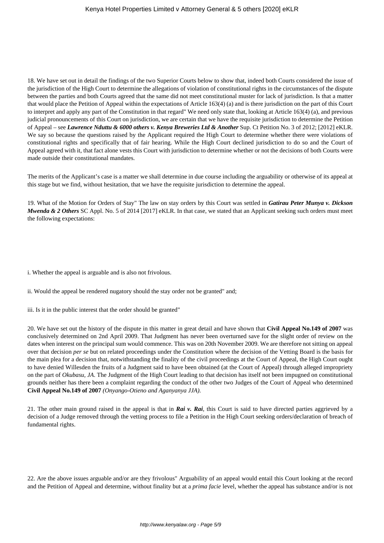18. We have set out in detail the findings of the two Superior Courts below to show that, indeed both Courts considered the issue of the jurisdiction of the High Court to determine the allegations of violation of constitutional rights in the circumstances of the dispute between the parties and both Courts agreed that the same did not meet constitutional muster for lack of jurisdiction. Is that a matter that would place the Petition of Appeal within the expectations of Article 163(4) (a) and is there jurisdiction on the part of this Court to interpret and apply any part of the Constitution in that regard" We need only state that, looking at Article 163(4) (a), and previous judicial pronouncements of this Court on jurisdiction, we are certain that we have the requisite jurisdiction to determine the Petition of Appeal – see *Lawrence Nduttu & 6000 others v. Kenya Breweries Ltd & Another* Sup. Ct Petition No. 3 of 2012; [2012] eKLR. We say so because the questions raised by the Applicant required the High Court to determine whether there were violations of constitutional rights and specifically that of fair hearing. While the High Court declined jurisdiction to do so and the Court of Appeal agreed with it, that fact alone vests this Court with jurisdiction to determine whether or not the decisions of both Courts were made outside their constitutional mandates.

The merits of the Applicant's case is a matter we shall determine in due course including the arguability or otherwise of its appeal at this stage but we find, without hesitation, that we have the requisite jurisdiction to determine the appeal.

19. What of the Motion for Orders of Stay" The law on stay orders by this Court was settled in *Gatirau Peter Munya v. Dickson Mwenda & 2 Others* SC Appl. No. 5 of 2014 [2017] eKLR. In that case, we stated that an Applicant seeking such orders must meet the following expectations:

i. Whether the appeal is arguable and is also not frivolous.

ii. Would the appeal be rendered nugatory should the stay order not be granted" and;

iii. Is it in the public interest that the order should be granted"

20. We have set out the history of the dispute in this matter in great detail and have shown that **Civil Appeal No.149 of 2007** was conclusively determined on 2nd April 2009. That Judgment has never been overturned save for the slight order of review on the dates when interest on the principal sum would commence. This was on 20th November 2009. We are therefore not sitting on appeal over that decision *per se* but on related proceedings under the Constitution where the decision of the Vetting Board is the basis for the main plea for a decision that, notwithstanding the finality of the civil proceedings at the Court of Appeal, the High Court ought to have denied Willesden the fruits of a Judgment said to have been obtained (at the Court of Appeal) through alleged impropriety on the part of *Okubasu, JA*. The Judgment of the High Court leading to that decision has itself not been impugned on constitutional grounds neither has there been a complaint regarding the conduct of the other two Judges of the Court of Appeal who determined **Civil Appeal No.149 of 2007** *(Onyango-Otieno and Aganyanya JJA).*

21. The other main ground raised in the appeal is that in *Rai v. Rai*, this Court is said to have directed parties aggrieved by a decision of a Judge removed through the vetting process to file a Petition in the High Court seeking orders/declaration of breach of fundamental rights.

22. Are the above issues arguable and/or are they frivolous" Arguability of an appeal would entail this Court looking at the record and the Petition of Appeal and determine, without finality but at a *prima facie* level, whether the appeal has substance and/or is not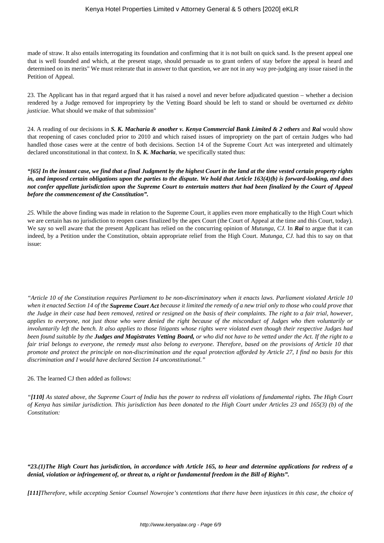made of straw. It also entails interrogating its foundation and confirming that it is not built on quick sand. Is the present appeal one that is well founded and which, at the present stage, should persuade us to grant orders of stay before the appeal is heard and determined on its merits" We must reiterate that in answer to that question, we are not in any way pre-judging any issue raised in the Petition of Appeal.

23. The Applicant has in that regard argued that it has raised a novel and never before adjudicated question – whether a decision rendered by a Judge removed for impropriety by the Vetting Board should be left to stand or should be overturned *ex debito justiciae*. What should we make of that submission"

24. A reading of our decisions in *S. K. Macharia & another v. Kenya Commercial Bank Limited & 2 others* and *Rai* would show that reopening of cases concluded prior to 2010 and which raised issues of impropriety on the part of certain Judges who had handled those cases were at the centre of both decisions. Section 14 of the Supreme Court Act was interpreted and ultimately declared unconstitutional in that context. In *S. K. Macharia*, we specifically stated thus:

*"[65] In the instant case, we find that a final Judgment by the highest Court in the land at the time vested certain property rights in, and imposed certain obligations upon the parties to the dispute. We hold that Article 163(4)(b) is forward-looking, and does not confer appellate jurisdiction upon the Supreme Court to entertain matters that had been finalized by the Court of Appeal before the commencement of the Constitution".*

*25.* While the above finding was made in relation to the Supreme Court, it applies even more emphatically to the High Court which we are certain has no jurisdiction to reopen cases finalized by the apex Court (the Court of Appeal at the time and this Court, today). We say so well aware that the present Applicant has relied on the concurring opinion of *Mutunga, CJ.* In *Rai* to argue that it can indeed, by a Petition under the Constitution, obtain appropriate relief from the High Court. *Mutunga, CJ.* had this to say on that issue:

*"Article 10 of the Constitution requires Parliament to be non-discriminatory when it enacts laws. Parliament violated Article 10 when it enacted Section 14 of the Supreme Court Act because it limited the remedy of a new trial only to those who could prove that the Judge in their case had been removed, retired or resigned on the basis of their complaints. The right to a fair trial, however, applies to everyone, not just those who were denied the right because of the misconduct of Judges who then voluntarily or involuntarily left the bench. It also applies to those litigants whose rights were violated even though their respective Judges had been found suitable by the Judges and Magistrates Vetting Board, or who did not have to be vetted under the Act. If the right to a fair trial belongs to everyone, the remedy must also belong to everyone. Therefore, based on the provisions of Article 10 that promote and protect the principle on non-discrimination and the equal protection afforded by Article 27, I find no basis for this discrimination and I would have declared Section 14 unconstitutional."*

#### 26. The learned CJ then added as follows:

*"[110] As stated above, the Supreme Court of India has the power to redress all violations of fundamental rights. The High Court of Kenya has similar jurisdiction. This jurisdiction has been donated to the High Court under Articles 23 and 165(3) (b) of the Constitution:*

*"23.(1)The High Court has jurisdiction, in accordance with Article 165, to hear and determine applications for redress of a denial, violation or infringement of, or threat to, a right or fundamental freedom in the Bill of Rights".*

*[111]Therefore, while accepting Senior Counsel Nowrojee's contentions that there have been injustices in this case, the choice of*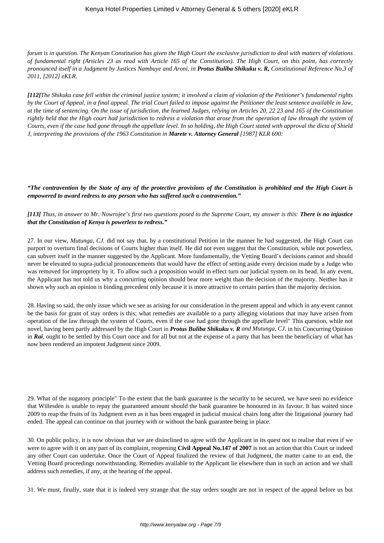*forum is in question. The Kenyan Constitution has given the High Court the exclusive jurisdiction to deal with matters of violations of fundamental right (Articles 23 as read with Article 165 of the Constitution). The High Court, on this point, has correctly pronounced itself in a Judgment by Justices Nambuye and Aroni, in Protus Buliba Shikuku v. R, Constitutional Reference No.3 of 2011, [2012] eKLR.*

*[112]The Shikuku case fell within the criminal justice system; it involved a claim of violation of the Petitioner's fundamental rights by the Court of Appeal, in a final appeal. The trial Court failed to impose against the Petitioner the least sentence available in law, at the time of sentencing. On the issue of jurisdiction, the learned Judges, relying on Articles 20, 22 23 and 165 of the Constitution rightly held that the High court had jurisdiction to redress a violation that arose from the operation of law through the system of Courts, even if the case had gone through the appellate level. In so holding, the High Court stated with approval the dicta of Shield J, interpreting the provisions of the 1963 Constitution in Marete v. Attorney General [1987] KLR 690:*

*"The contravention by the State of any of the protective provisions of the Constitution is prohibited and the High Court is empowered to award redress to any person who has suffered such a contravention."*

*[113] Thus, in answer to Mr. Nowrojee's first two questions posed to the Supreme Court, my answer is this: There is no injustice that the Constitution of Kenya is powerless to redress."*

27. In our view, *Mutunga, CJ.* did not say that, by a constitutional Petition in the manner he had suggested, the High Court can purport to overturn final decisions of Courts higher than itself. He did not even suggest that the Constitution, while not powerless, can subvert itself in the manner suggested by the Applicant. More fundamentally, the Vetting Board's decisions cannot and should never be elevated to supra-judicial pronouncements that would have the effect of setting aside every decision made by a Judge who was removed for impropriety by it. To allow such a proposition would in effect turn our judicial system on its head. In any event, the Applicant has not told us why a concurring opinion should bear more weight than the decision of the majority. Neither has it shown why such an opinion is binding precedent only because it is more attractive to certain parties than the majority decision.

28. Having so said, the only issue which we see as arising for our consideration in the present appeal and which in any event cannot be the basis for grant of stay orders is this; what remedies are available to a party alleging violations that may have arisen from operation of the law through the system of Courts, even if the case had gone through the appellate level" This question, while not novel, having been partly addressed by the High Court in *Protus Buliba Shikuku v. R and Mutunga, CJ.* in his Concurring Opinion in *Rai*, ought to be settled by this Court once and for all but not at the expense of a party that has been the beneficiary of what has now been rendered an impotent Judgment since 2009.

29. What of the nugatory principle" To the extent that the bank guarantee is the security to be secured, we have seen no evidence that Willesden is unable to repay the guaranteed amount should the bank guarantee be honoured in its favour. It has waited since 2009 to reap the fruits of its Judgment even as it has been engaged in judicial musical chairs long after the litigational journey had ended. The appeal can continue on that journey with or without the bank guarantee being in place.

30. On public policy, it is now obvious that we are disinclined to agree with the Applicant in its quest not to realise that even if we were to agree with it on any part of its complaint, reopening **Civil Appeal No.147 of 2007** is not an action that this Court or indeed any other Court can undertake. Once the Court of Appeal finalized the review of that Judgment, the matter came to an end, the Vetting Board proceedings notwithstanding. Remedies available to the Applicant lie elsewhere than in such an action and we shall address such remedies, if any, at the hearing of the appeal.

31. We must, finally, state that it is indeed very strange that the stay orders sought are not in respect of the appeal before us but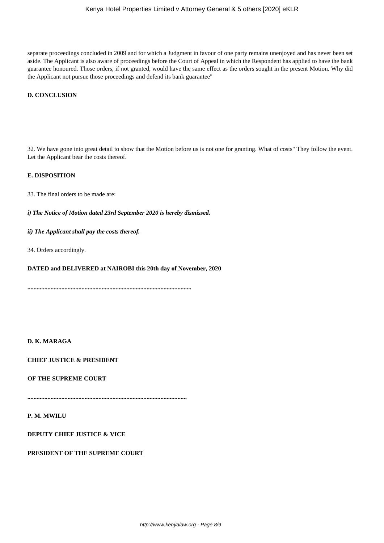separate proceedings concluded in 2009 and for which a Judgment in favour of one party remains unenjoyed and has never been set aside. The Applicant is also aware of proceedings before the Court of Appeal in which the Respondent has applied to have the bank guarantee honoured. Those orders, if not granted, would have the same effect as the orders sought in the present Motion. Why did the Applicant not pursue those proceedings and defend its bank guarantee"

## **D. CONCLUSION**

32. We have gone into great detail to show that the Motion before us is not one for granting. What of costs" They follow the event. Let the Applicant bear the costs thereof.

#### **E. DISPOSITION**

33. The final orders to be made are:

*i) The Notice of Motion dated 23rd September 2020 is hereby dismissed.*

*ii) The Applicant shall pay the costs thereof.*

34. Orders accordingly.

# **DATED and DELIVERED at NAIROBI this 20th day of November, 2020**

**..........................................................................................................**

#### **D. K. MARAGA**

**CHIEF JUSTICE & PRESIDENT**

#### **OF THE SUPREME COURT**

**.......................................................................................................**

**P. M. MWILU**

**DEPUTY CHIEF JUSTICE & VICE**

**PRESIDENT OF THE SUPREME COURT**